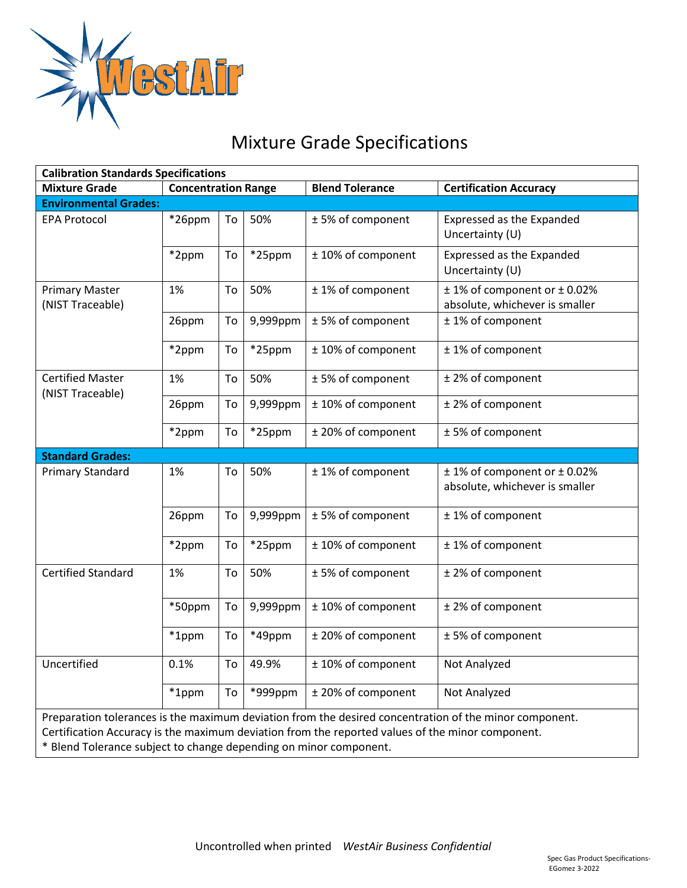

## Mixture Grade Specifications

| <b>Calibration Standards Specifications</b>                                                                                                                                                                                                                                     |                            |    |           |                        |                                                                |
|---------------------------------------------------------------------------------------------------------------------------------------------------------------------------------------------------------------------------------------------------------------------------------|----------------------------|----|-----------|------------------------|----------------------------------------------------------------|
| <b>Mixture Grade</b>                                                                                                                                                                                                                                                            | <b>Concentration Range</b> |    |           | <b>Blend Tolerance</b> | <b>Certification Accuracy</b>                                  |
| <b>Environmental Grades:</b>                                                                                                                                                                                                                                                    |                            |    |           |                        |                                                                |
| <b>EPA Protocol</b>                                                                                                                                                                                                                                                             | *26ppm                     | To | 50%       | ±5% of component       | Expressed as the Expanded<br>Uncertainty (U)                   |
|                                                                                                                                                                                                                                                                                 | *2ppm                      | To | *25ppm    | ± 10% of component     | Expressed as the Expanded<br>Uncertainty (U)                   |
| <b>Primary Master</b><br>(NIST Traceable)                                                                                                                                                                                                                                       | 1%                         | To | 50%       | ±1% of component       | ± 1% of component or ± 0.02%<br>absolute, whichever is smaller |
|                                                                                                                                                                                                                                                                                 | 26ppm                      | To | 9,999ppm  | ±5% of component       | ±1% of component                                               |
|                                                                                                                                                                                                                                                                                 | *2ppm                      | To | *25ppm    | ± 10% of component     | ±1% of component                                               |
| <b>Certified Master</b><br>(NIST Traceable)                                                                                                                                                                                                                                     | 1%                         | To | 50%       | ±5% of component       | ± 2% of component                                              |
|                                                                                                                                                                                                                                                                                 | 26ppm                      | To | 9,999ppm  | ± 10% of component     | ± 2% of component                                              |
|                                                                                                                                                                                                                                                                                 | *2ppm                      | To | *25ppm    | ± 20% of component     | ±5% of component                                               |
| <b>Standard Grades:</b>                                                                                                                                                                                                                                                         |                            |    |           |                        |                                                                |
| <b>Primary Standard</b>                                                                                                                                                                                                                                                         | 1%                         | To | 50%       | ±1% of component       | ± 1% of component or ± 0.02%<br>absolute, whichever is smaller |
|                                                                                                                                                                                                                                                                                 | 26ppm                      | To | 9,999ppm  | ±5% of component       | ±1% of component                                               |
|                                                                                                                                                                                                                                                                                 | *2ppm                      | To | $*25$ ppm | ± 10% of component     | ±1% of component                                               |
| <b>Certified Standard</b>                                                                                                                                                                                                                                                       | 1%                         | To | 50%       | ±5% of component       | ± 2% of component                                              |
|                                                                                                                                                                                                                                                                                 | *50ppm                     | To | 9,999ppm  | ± 10% of component     | ± 2% of component                                              |
|                                                                                                                                                                                                                                                                                 | *1ppm                      | To | *49ppm    | ± 20% of component     | ±5% of component                                               |
| Uncertified                                                                                                                                                                                                                                                                     | 0.1%                       | To | 49.9%     | ± 10% of component     | Not Analyzed                                                   |
|                                                                                                                                                                                                                                                                                 | *1ppm                      | To | *999ppm   | ± 20% of component     | Not Analyzed                                                   |
| Preparation tolerances is the maximum deviation from the desired concentration of the minor component.<br>Certification Accuracy is the maximum deviation from the reported values of the minor component.<br>* Blend Tolerance subject to change depending on minor component. |                            |    |           |                        |                                                                |